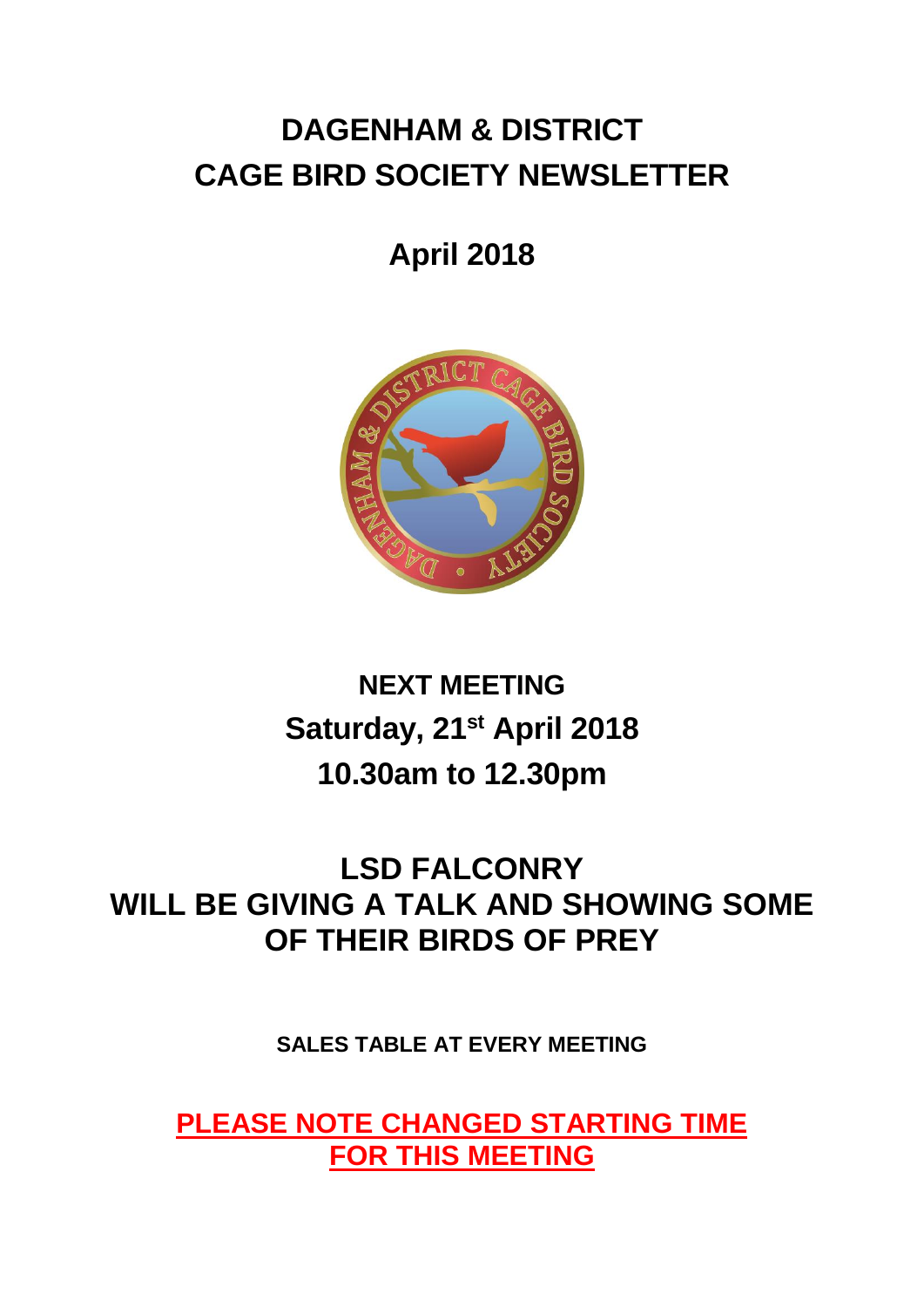# **DAGENHAM & DISTRICT CAGE BIRD SOCIETY NEWSLETTER**

## **April 2018**



# **NEXT MEETING Saturday, 21st April 2018 10.30am to 12.30pm**

## **LSD FALCONRY WILL BE GIVING A TALK AND SHOWING SOME OF THEIR BIRDS OF PREY**

**SALES TABLE AT EVERY MEETING**

**PLEASE NOTE CHANGED STARTING TIME FOR THIS MEETING**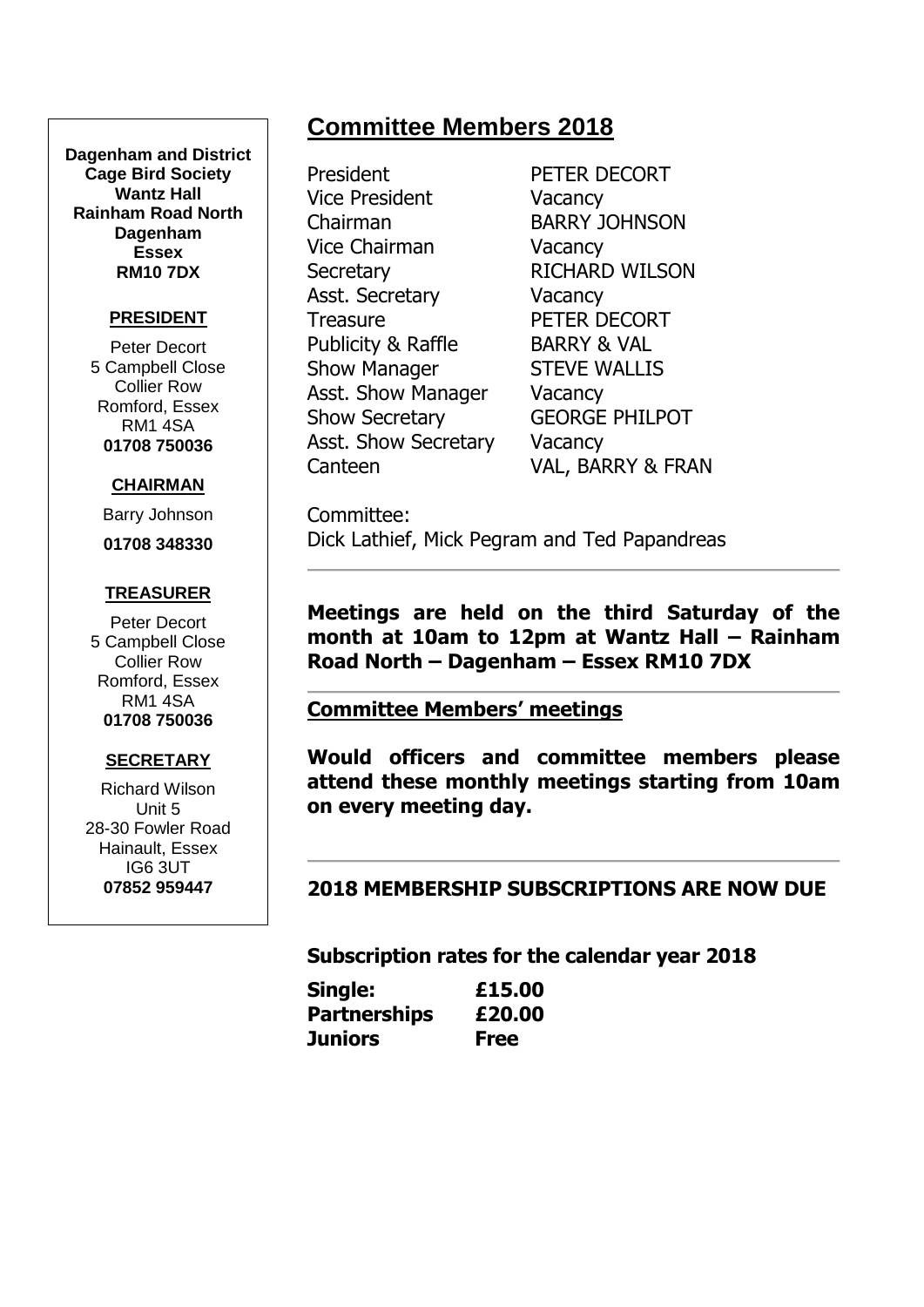#### **Dagenham and District Cage Bird Society Wantz Hall Rainham Road North Dagenham Essex RM10 7DX**

#### **PRESIDENT**

Peter Decort 5 Campbell Close Collier Row Romford, Essex RM1 4SA **01708 750036**

#### **CHAIRMAN**

Barry Johnson

**01708 348330**

#### **TREASURER**

Peter Decort 5 Campbell Close Collier Row Romford, Essex RM1 4SA **01708 750036**

#### **SECRETARY**

Richard Wilson Unit 5 28-30 Fowler Road Hainault, Essex IG6 3UT **07852 959447**

President PETER DECORT Vice President Vacancy Chairman BARRY JOHNSON Vice Chairman Vacancy Secretary RICHARD WILSON Asst. Secretary **Vacancy** Treasure PETER DECORT Publicity & Raffle BARRY & VAL Show Manager STEVE WALLIS Asst. Show Manager Vacancy Show Secretary GEORGE PHILPOT Asst. Show Secretary Vacancy

**Committee Members 2018**

Canteen VAL, BARRY & FRAN

Committee: Dick Lathief, Mick Pegram and Ted Papandreas

**Meetings are held on the third Saturday of the month at 10am to 12pm at Wantz Hall – Rainham Road North – Dagenham – Essex RM10 7DX**

#### **Committee Members' meetings**

**Would officers and committee members please attend these monthly meetings starting from 10am on every meeting day.**

**2018 MEMBERSHIP SUBSCRIPTIONS ARE NOW DUE**

**Subscription rates for the calendar year 2018**

| Single:             | £15.00      |
|---------------------|-------------|
| <b>Partnerships</b> | £20.00      |
| Juniors             | <b>Free</b> |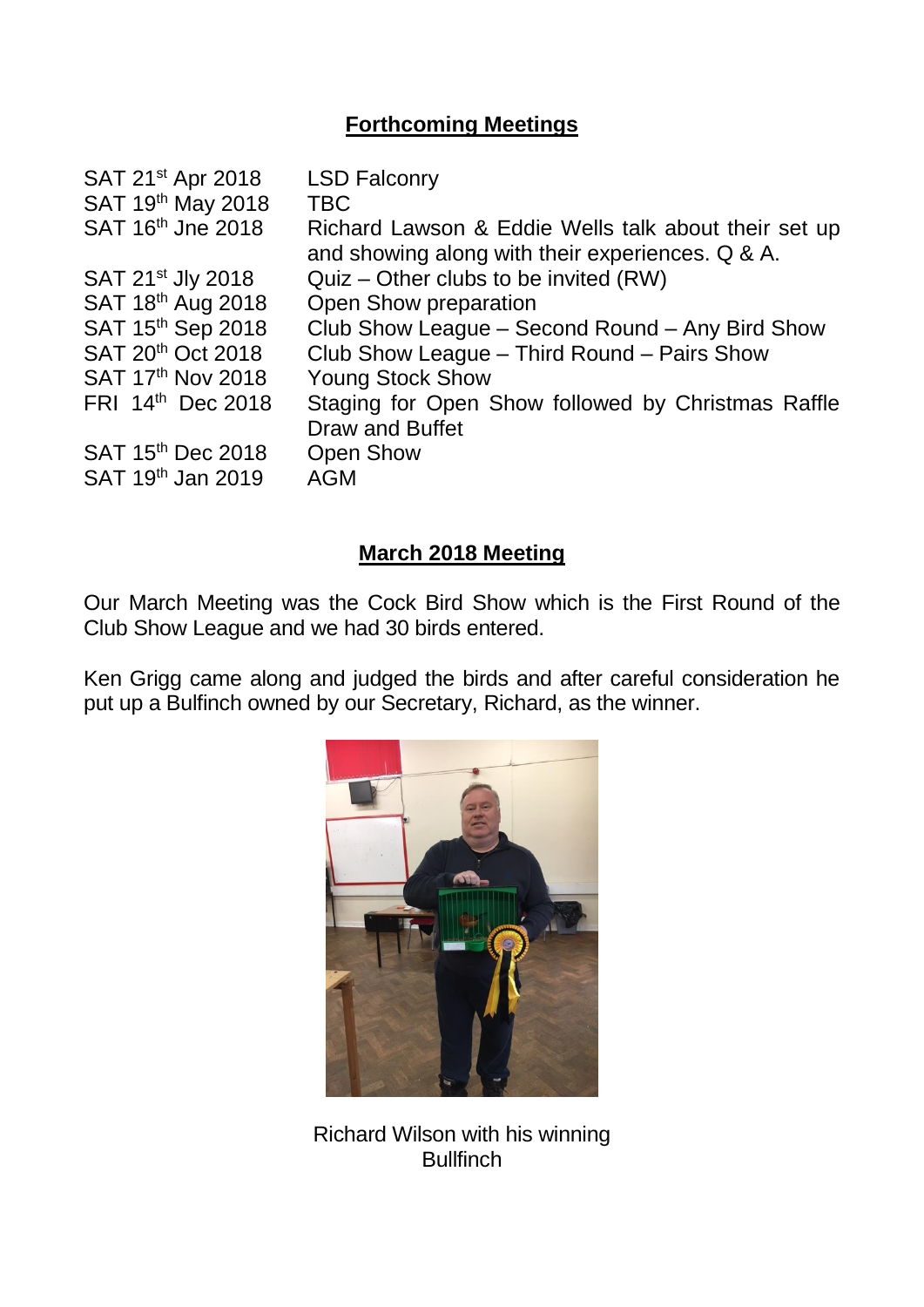## **Forthcoming Meetings**

| SAT 21 <sup>st</sup> Apr 2018 | <b>LSD Falconry</b>                                                                                      |
|-------------------------------|----------------------------------------------------------------------------------------------------------|
| SAT 19th May 2018             | <b>TBC</b>                                                                                               |
| SAT 16th Jne 2018             | Richard Lawson & Eddie Wells talk about their set up<br>and showing along with their experiences. Q & A. |
| SAT 21 <sup>st</sup> Jly 2018 | Quiz – Other clubs to be invited (RW)                                                                    |
| SAT 18th Aug 2018             | Open Show preparation                                                                                    |
| SAT 15th Sep 2018             | Club Show League - Second Round - Any Bird Show                                                          |
| SAT 20 <sup>th</sup> Oct 2018 | Club Show League - Third Round - Pairs Show                                                              |
| SAT 17th Nov 2018             | <b>Young Stock Show</b>                                                                                  |
| FRI 14th Dec 2018             | Staging for Open Show followed by Christmas Raffle<br>Draw and Buffet                                    |
| SAT 15th Dec 2018             | <b>Open Show</b>                                                                                         |
| SAT 19 <sup>th</sup> Jan 2019 | <b>AGM</b>                                                                                               |
|                               |                                                                                                          |

## **March 2018 Meeting**

Our March Meeting was the Cock Bird Show which is the First Round of the Club Show League and we had 30 birds entered.

Ken Grigg came along and judged the birds and after careful consideration he put up a Bulfinch owned by our Secretary, Richard, as the winner.



Richard Wilson with his winning **Bullfinch**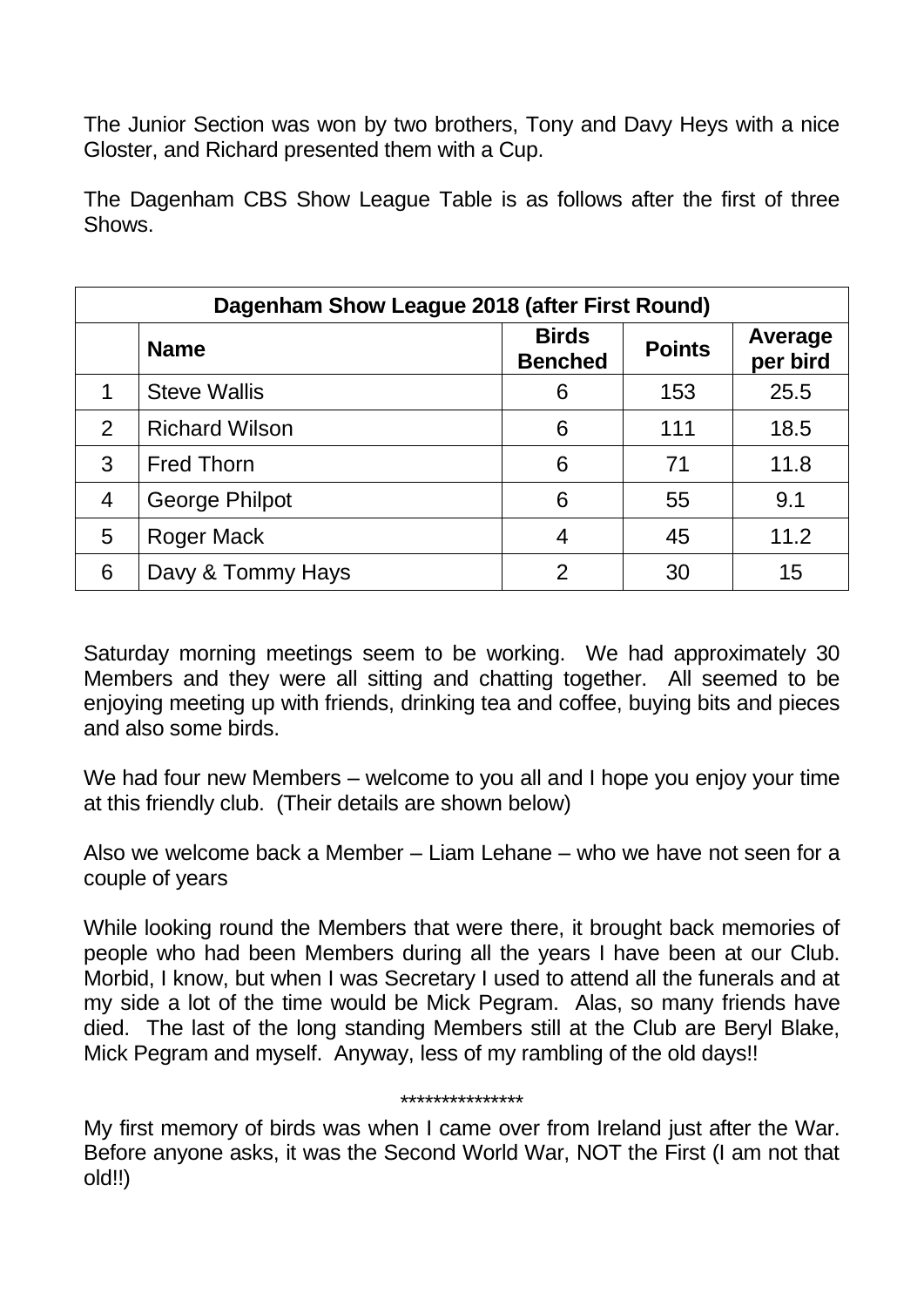The Junior Section was won by two brothers, Tony and Davy Heys with a nice Gloster, and Richard presented them with a Cup.

The Dagenham CBS Show League Table is as follows after the first of three **Shows** 

| Dagenham Show League 2018 (after First Round) |                       |                                |               |                     |  |  |  |
|-----------------------------------------------|-----------------------|--------------------------------|---------------|---------------------|--|--|--|
|                                               | <b>Name</b>           | <b>Birds</b><br><b>Benched</b> | <b>Points</b> | Average<br>per bird |  |  |  |
| 1                                             | <b>Steve Wallis</b>   | 6                              | 153           | 25.5                |  |  |  |
| 2                                             | <b>Richard Wilson</b> | 6                              | 111           | 18.5                |  |  |  |
| 3                                             | <b>Fred Thorn</b>     | 6                              | 71            | 11.8                |  |  |  |
| $\overline{4}$                                | <b>George Philpot</b> | 6                              | 55            | 9.1                 |  |  |  |
| 5                                             | Roger Mack            | 4                              | 45            | 11.2                |  |  |  |
| 6                                             | Davy & Tommy Hays     | 2                              | 30            | 15                  |  |  |  |

Saturday morning meetings seem to be working. We had approximately 30 Members and they were all sitting and chatting together. All seemed to be enjoying meeting up with friends, drinking tea and coffee, buying bits and pieces and also some birds.

We had four new Members – welcome to you all and I hope you enjoy your time at this friendly club. (Their details are shown below)

Also we welcome back a Member – Liam Lehane – who we have not seen for a couple of years

While looking round the Members that were there, it brought back memories of people who had been Members during all the years I have been at our Club. Morbid, I know, but when I was Secretary I used to attend all the funerals and at my side a lot of the time would be Mick Pegram. Alas, so many friends have died. The last of the long standing Members still at the Club are Beryl Blake, Mick Pegram and myself. Anyway, less of my rambling of the old days!!

#### \*\*\*\*\*\*\*\*\*\*\*\*\*\*\*

My first memory of birds was when I came over from Ireland just after the War. Before anyone asks, it was the Second World War, NOT the First (I am not that old!!)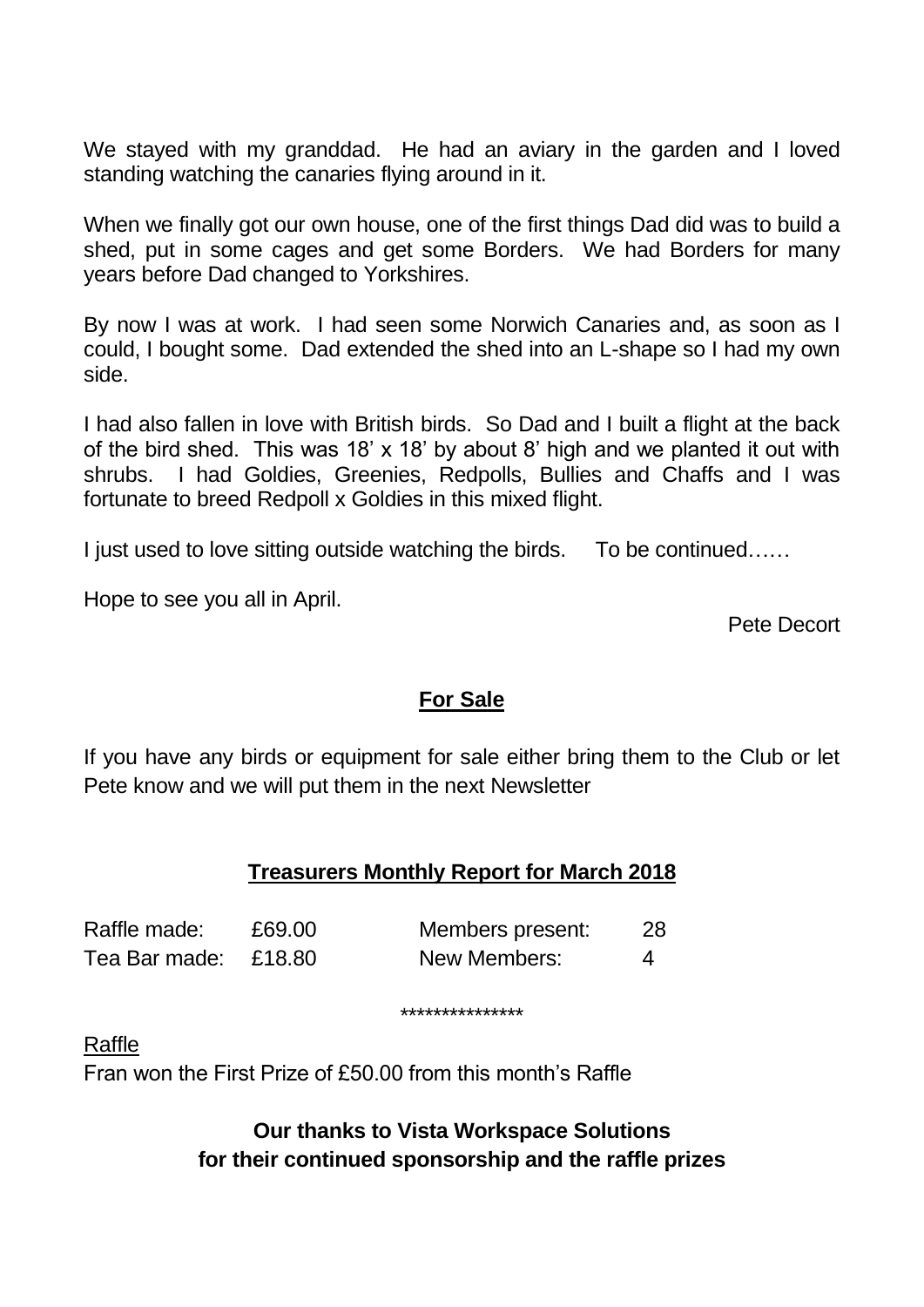We stayed with my granddad. He had an aviary in the garden and I loved standing watching the canaries flying around in it.

When we finally got our own house, one of the first things Dad did was to build a shed, put in some cages and get some Borders. We had Borders for many years before Dad changed to Yorkshires.

By now I was at work. I had seen some Norwich Canaries and, as soon as I could, I bought some. Dad extended the shed into an L-shape so I had my own side.

I had also fallen in love with British birds. So Dad and I built a flight at the back of the bird shed. This was 18' x 18' by about 8' high and we planted it out with shrubs. I had Goldies, Greenies, Redpolls, Bullies and Chaffs and I was fortunate to breed Redpoll x Goldies in this mixed flight.

I just used to love sitting outside watching the birds. To be continued……

Hope to see you all in April.

Pete Decort

## **For Sale**

If you have any birds or equipment for sale either bring them to the Club or let Pete know and we will put them in the next Newsletter

## **Treasurers Monthly Report for March 2018**

| Raffle made:         | £69.00 | Members present: | 28. |
|----------------------|--------|------------------|-----|
| Tea Bar made: £18.80 |        | New Members:     | 4   |

\*\*\*\*\*\*\*\*\*\*\*\*\*\*\*

Raffle

Fran won the First Prize of £50.00 from this month's Raffle

## **Our thanks to Vista Workspace Solutions for their continued sponsorship and the raffle prizes**